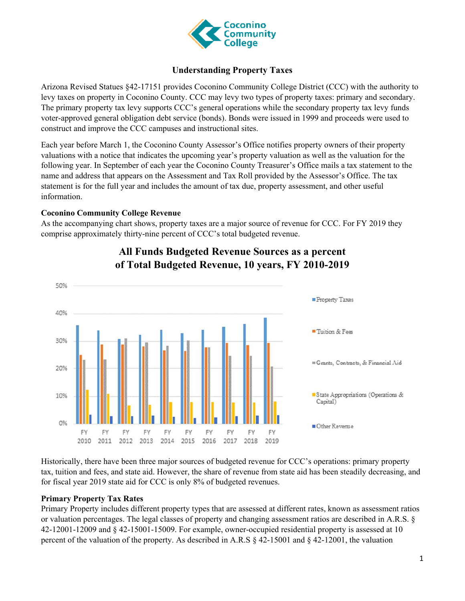

#### **Understanding Property Taxes**

Arizona Revised Statues §42-17151 provides Coconino Community College District (CCC) with the authority to levy taxes on property in Coconino County. CCC may levy two types of property taxes: primary and secondary. The primary property tax levy supports CCC's general operations while the secondary property tax levy funds voter-approved general obligation debt service (bonds). Bonds were issued in 1999 and proceeds were used to construct and improve the CCC campuses and instructional sites.

Each year before March 1, the Coconino County Assessor's Office notifies property owners of their property valuations with a notice that indicates the upcoming year's property valuation as well as the valuation for the following year. In September of each year the Coconino County Treasurer's Office mails a tax statement to the name and address that appears on the Assessment and Tax Roll provided by the Assessor's Office. The tax statement is for the full year and includes the amount of tax due, property assessment, and other useful information.

#### **Coconino Community College Revenue**

As the accompanying chart shows, property taxes are a major source of revenue for CCC. For FY 2019 they comprise approximately thirty-nine percent of CCC's total budgeted revenue.



### **All Funds Budgeted Revenue Sources as a percent of Total Budgeted Revenue, 10 years, FY 2010-2019**

Historically, there have been three major sources of budgeted revenue for CCC's operations: primary property tax, tuition and fees, and state aid. However, the share of revenue from state aid has been steadily decreasing, and for fiscal year 2019 state aid for CCC is only 8% of budgeted revenues.

#### **Primary Property Tax Rates**

Primary Property includes different property types that are assessed at different rates, known as assessment ratios or valuation percentages. The legal classes of property and changing assessment ratios are described in A.R.S. § 42-12001-12009 and § 42-15001-15009. For example, owner-occupied residential property is assessed at 10 percent of the valuation of the property. As described in A.R.S  $\S$  42-15001 and  $\S$  42-12001, the valuation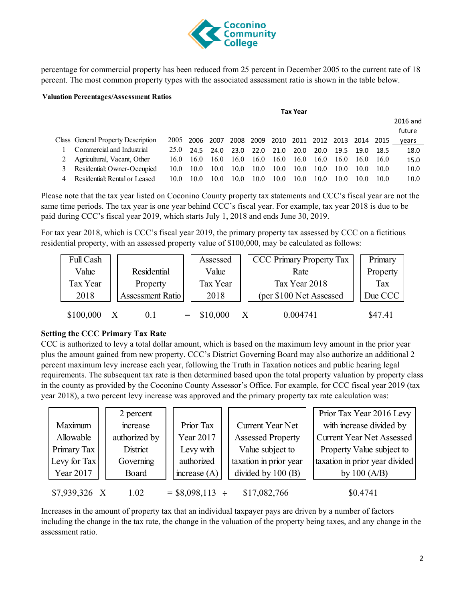

percentage for commercial property has been reduced from 25 percent in December 2005 to the current rate of 18 percent. The most common property types with the associated assessment ratio is shown in the table below.

#### **Valuation Percentages/Assessment Ratios**

|                                    | <b>Tax Year</b> |      |      |      |      |      |              |      |      |      |      |          |
|------------------------------------|-----------------|------|------|------|------|------|--------------|------|------|------|------|----------|
|                                    |                 |      |      |      |      |      |              |      |      |      |      | 2016 and |
|                                    |                 |      |      |      |      |      |              |      |      |      |      | future   |
| Class General Property Description | 2005            | 2006 | 2007 | 2008 | 2009 | 2010 | <u> 2011</u> | 2012 | 2013 | 2014 | 2015 | years    |
| Commercial and Industrial          | 25.0            | 24.5 | 24.0 | 23.0 | 22.0 | 21.0 | 20.0         | 20.0 | 19.5 | 19.0 | 18.5 | 18.0     |
| Agricultural, Vacant, Other        | 16.0            | 16.0 | 16.0 | 16.0 | 16.0 | 16.0 | 16.0         | 16.0 | 16.0 | 16.0 | 16.0 | 15.0     |
| Residential: Owner-Occupied        | 10.0            | 10.0 | 10.0 | 10.0 | 10.0 | 10.0 | 10.0         | 10.0 | 10.0 | 10.0 | 10.0 | 10.0     |
| Residential: Rental or Leased      | 10.0            | 10.0 | 10.0 | 10.0 | 10.0 | 10.0 | 10.0         | 10.0 | 10.0 | 10.0 | 10.0 | 10.0     |

Please note that the tax year listed on Coconino County property tax statements and CCC's fiscal year are not the same time periods. The tax year is one year behind CCC's fiscal year. For example, tax year 2018 is due to be paid during CCC's fiscal year 2019, which starts July 1, 2018 and ends June 30, 2019.

For tax year 2018, which is CCC's fiscal year 2019, the primary property tax assessed by CCC on a fictitious residential property, with an assessed property value of \$100,000, may be calculated as follows:

| Full Cash                       |  |          | Assessed     |                         | <b>CCC Primary Property Tax</b> |         | Primary |
|---------------------------------|--|----------|--------------|-------------------------|---------------------------------|---------|---------|
| <b>Residential</b><br>Value     |  | Value    |              | Rate                    | Property                        |         |         |
| Tax Year<br>Property            |  | Tax Year |              | Tax Year 2018           |                                 | Tax     |         |
| <b>Assessment Ratio</b><br>2018 |  | 2018     |              | (per \$100 Net Assessed |                                 | Due CCC |         |
| \$100,000                       |  | 0.1      | $=$ \$10,000 | X                       | 0.004741                        |         | \$47.41 |

#### **Setting the CCC Primary Tax Rate**

CCC is authorized to levy a total dollar amount, which is based on the maximum levy amount in the prior year plus the amount gained from new property. CCC's District Governing Board may also authorize an additional 2 percent maximum levy increase each year, following the Truth in Taxation notices and public hearing legal requirements. The subsequent tax rate is then determined based upon the total property valuation by property class in the county as provided by the Coconino County Assessor's Office. For example, for CCC fiscal year 2019 (tax year 2018), a two percent levy increase was approved and the primary property tax rate calculation was:

|               | 2 percent     |                   |                          | Prior Tax Year 2016 Levy         |
|---------------|---------------|-------------------|--------------------------|----------------------------------|
| Maximum       | increase      | Prior Tax         | Current Year Net         | with increase divided by         |
| Allowable     | authorized by | Year 2017         | <b>Assessed Property</b> | <b>Current Year Net Assessed</b> |
| Primary Tax   | District      | Levy with         | Value subject to         | Property Value subject to        |
| Levy for Tax  | Governing     | authorized        | taxation in prior year   | taxation in prior year divided   |
| Year 2017     | Board         | increase $(A)$    | divided by 100 (B)       | by $100(A/B)$                    |
| \$7,939,326 X | 1.02          | $=$ \$8,098,113 ÷ | \$17,082,766             | \$0.4741                         |

Increases in the amount of property tax that an individual taxpayer pays are driven by a number of factors including the change in the tax rate, the change in the valuation of the property being taxes, and any change in the assessment ratio.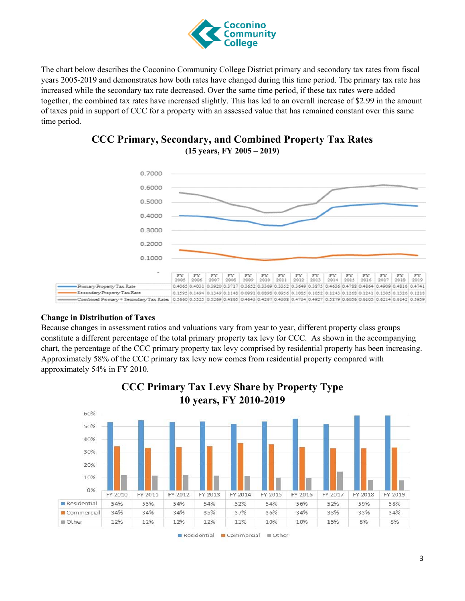

The chart below describes the Coconino Community College District primary and secondary tax rates from fiscal years 2005-2019 and demonstrates how both rates have changed during this time period. The primary tax rate has increased while the secondary tax rate decreased. Over the same time period, if these tax rates were added together, the combined tax rates have increased slightly. This has led to an overall increase of \$2.99 in the amount of taxes paid in support of CCC for a property with an assessed value that has remained constant over this same time period.





#### **Change in Distribution of Taxes**

Because changes in assessment ratios and valuations vary from year to year, different property class groups constitute a different percentage of the total primary property tax levy for CCC. As shown in the accompanying chart, the percentage of the CCC primary property tax levy comprised by residential property has been increasing. Approximately 58% of the CCC primary tax levy now comes from residential property compared with approximately 54% in FY 2010.



**CCC Primary Tax Levy Share by Property Type**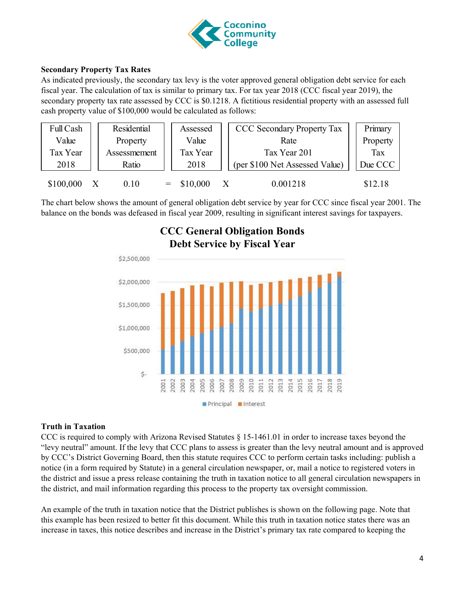

#### **Secondary Property Tax Rates**

As indicated previously, the secondary tax levy is the voter approved general obligation debt service for each fiscal year. The calculation of tax is similar to primary tax. For tax year 2018 (CCC fiscal year 2019), the secondary property tax rate assessed by CCC is \$0.1218. A fictitious residential property with an assessed full cash property value of \$100,000 would be calculated as follows:

| Full Cash | <b>Residential</b> | Assessed     | <b>CCC Secondary Property Tax</b> | Primary  |
|-----------|--------------------|--------------|-----------------------------------|----------|
| Value     | Property           | Value        | Rate                              | Property |
| Tax Year  | Assessmement       | Tax Year     | Tax Year 201                      | Tax      |
| 2018      | Ratio              | 2018         | (per \$100 Net Assessed Value)    | Due CCC  |
| \$100,000 | 0.10               | $=$ \$10,000 | 0.001218                          | \$12.18  |

The chart below shows the amount of general obligation debt service by year for CCC since fiscal year 2001. The balance on the bonds was defeased in fiscal year 2009, resulting in significant interest savings for taxpayers.



# **CCC General Obligation Bonds**

#### **Truth in Taxation**

CCC is required to comply with Arizona Revised Statutes § 15-1461.01 in order to increase taxes beyond the "levy neutral" amount. If the levy that CCC plans to assess is greater than the levy neutral amount and is approved by CCC's District Governing Board, then this statute requires CCC to perform certain tasks including: publish a notice (in a form required by Statute) in a general circulation newspaper, or, mail a notice to registered voters in the district and issue a press release containing the truth in taxation notice to all general circulation newspapers in the district, and mail information regarding this process to the property tax oversight commission.

An example of the truth in taxation notice that the District publishes is shown on the following page. Note that this example has been resized to better fit this document. While this truth in taxation notice states there was an increase in taxes, this notice describes and increase in the District's primary tax rate compared to keeping the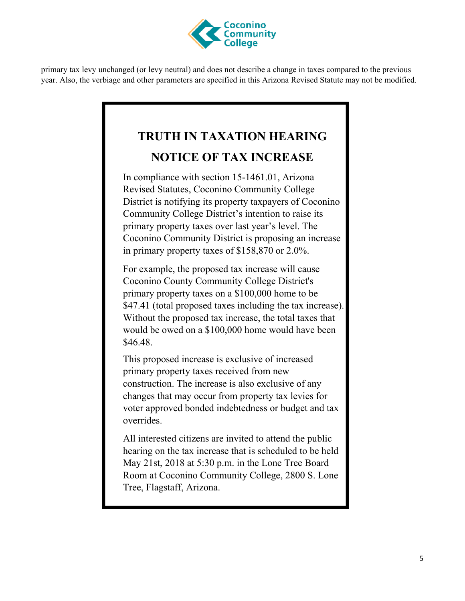

primary tax levy unchanged (or levy neutral) and does not describe a change in taxes compared to the previous year. Also, the verbiage and other parameters are specified in this Arizona Revised Statute may not be modified.

## **TRUTH IN TAXATION HEARING NOTICE OF TAX INCREASE**

In compliance with section 15-1461.01, Arizona Revised Statutes, Coconino Community College District is notifying its property taxpayers of Coconino Community College District's intention to raise its primary property taxes over last year's level. The Coconino Community District is proposing an increase in primary property taxes of \$158,870 or 2.0%.

For example, the proposed tax increase will cause Coconino County Community College District's primary property taxes on a \$100,000 home to be \$47.41 (total proposed taxes including the tax increase). Without the proposed tax increase, the total taxes that would be owed on a \$100,000 home would have been \$46.48.

This proposed increase is exclusive of increased primary property taxes received from new construction. The increase is also exclusive of any changes that may occur from property tax levies for voter approved bonded indebtedness or budget and tax overrides.

All interested citizens are invited to attend the public hearing on the tax increase that is scheduled to be held May 21st, 2018 at 5:30 p.m. in the Lone Tree Board Room at Coconino Community College, 2800 S. Lone Tree, Flagstaff, Arizona.